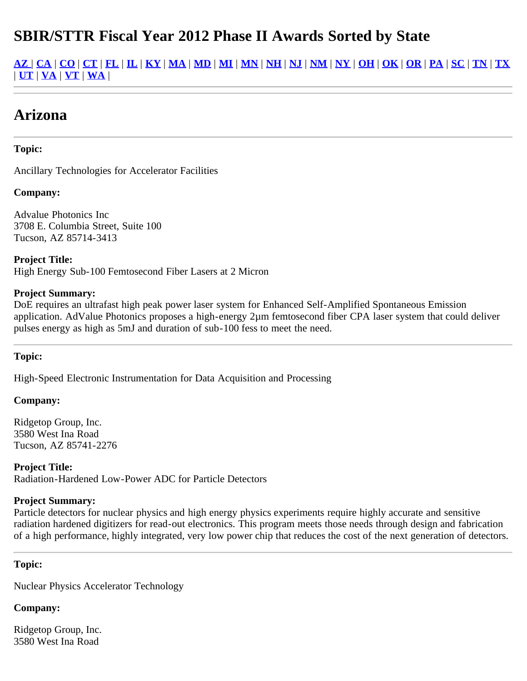# **SBIR/STTR Fiscal Year 2012 Phase II Awards Sorted by State**

<u>[AZ](#page-0-0) | [CA](#page-7-0) | [CO](#page-10-0) | [CT](#page-11-0) | [FL](#page-12-0) | [IL](#page-13-0) | [KY](#page-13-1) | [MA](#page-18-0) | [MD](#page-18-1) | [MI](#page-20-0) | [MN](#page-20-1) | [NH](#page-21-0) | [NJ](#page-21-1) | [NM](#page-23-0) | [NY](#page-24-0) | [OH](#page-27-0) | [OK](#page-27-1) | [OR](#page-28-0) | [PA](#page-29-0) | [SC](#page-30-0) | [TN](#page-31-0) | [TX](#page-32-0)</u> | **[UT](#page-33-0)** | **[VA](#page-35-0)** | **[VT](#page-34-0)** | **[WA](#page-36-0)** |

# **Arizona**

### **Topic:**

Ancillary Technologies for Accelerator Facilities

### **Company:**

Advalue Photonics Inc 3708 E. Columbia Street, Suite 100 Tucson, AZ 85714-3413

**Project Title:** High Energy Sub-100 Femtosecond Fiber Lasers at 2 Micron

#### **Project Summary:**

DoE requires an ultrafast high peak power laser system for Enhanced Self-Amplified Spontaneous Emission application. AdValue Photonics proposes a high-energy 2µm femtosecond fiber CPA laser system that could deliver pulses energy as high as 5mJ and duration of sub-100 fess to meet the need.

#### **Topic:**

High-Speed Electronic Instrumentation for Data Acquisition and Processing

#### **Company:**

Ridgetop Group, Inc. 3580 West Ina Road Tucson, AZ 85741-2276

**Project Title:** Radiation-Hardened Low-Power ADC for Particle Detectors

#### **Project Summary:**

Particle detectors for nuclear physics and high energy physics experiments require highly accurate and sensitive radiation hardened digitizers for read-out electronics. This program meets those needs through design and fabrication of a high performance, highly integrated, very low power chip that reduces the cost of the next generation of detectors.

#### <span id="page-0-0"></span>**Topic:**

Nuclear Physics Accelerator Technology

#### **Company:**

Ridgetop Group, Inc. 3580 West Ina Road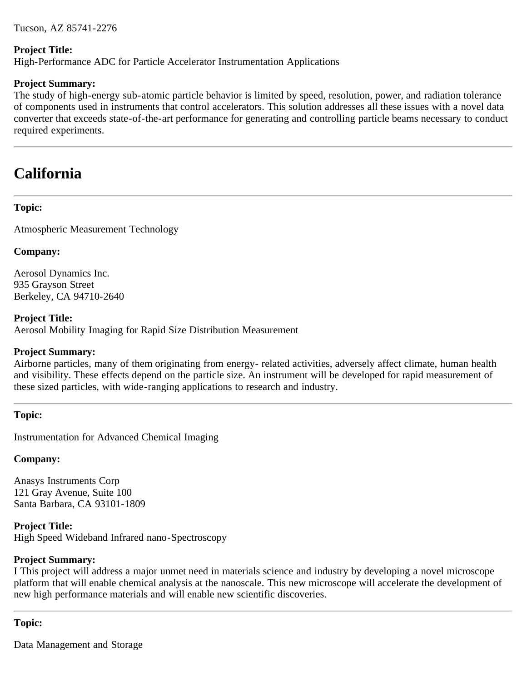Tucson, AZ 85741-2276

#### **Project Title:**

High-Performance ADC for Particle Accelerator Instrumentation Applications

#### **Project Summary:**

The study of high-energy sub-atomic particle behavior is limited by speed, resolution, power, and radiation tolerance of components used in instruments that control accelerators. This solution addresses all these issues with a novel data converter that exceeds state-of-the-art performance for generating and controlling particle beams necessary to conduct required experiments.

# **California**

## **Topic:**

Atmospheric Measurement Technology

### **Company:**

Aerosol Dynamics Inc. 935 Grayson Street Berkeley, CA 94710-2640

### **Project Title:**

Aerosol Mobility Imaging for Rapid Size Distribution Measurement

#### **Project Summary:**

Airborne particles, many of them originating from energy- related activities, adversely affect climate, human health and visibility. These effects depend on the particle size. An instrument will be developed for rapid measurement of these sized particles, with wide-ranging applications to research and industry.

#### **Topic:**

Instrumentation for Advanced Chemical Imaging

#### **Company:**

Anasys Instruments Corp 121 Gray Avenue, Suite 100 Santa Barbara, CA 93101-1809

### **Project Title:**

High Speed Wideband Infrared nano-Spectroscopy

#### **Project Summary:**

I This project will address a major unmet need in materials science and industry by developing a novel microscope platform that will enable chemical analysis at the nanoscale. This new microscope will accelerate the development of new high performance materials and will enable new scientific discoveries.

## **Topic:**

Data Management and Storage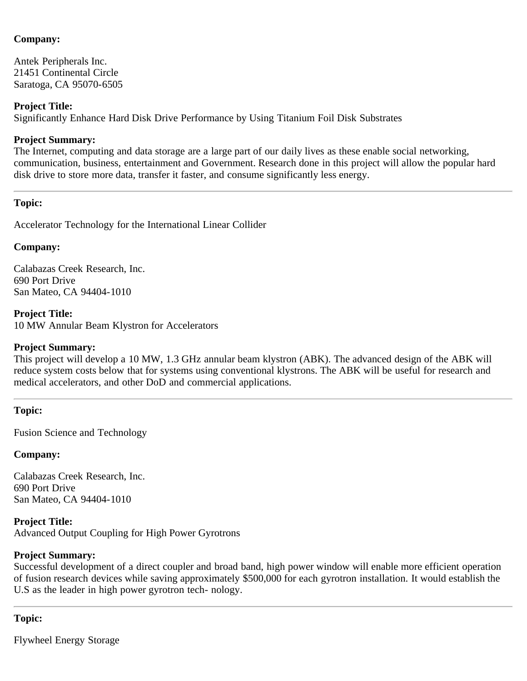Antek Peripherals Inc. 21451 Continental Circle Saratoga, CA 95070-6505

#### **Project Title:**

Significantly Enhance Hard Disk Drive Performance by Using Titanium Foil Disk Substrates

#### **Project Summary:**

The Internet, computing and data storage are a large part of our daily lives as these enable social networking, communication, business, entertainment and Government. Research done in this project will allow the popular hard disk drive to store more data, transfer it faster, and consume significantly less energy.

#### **Topic:**

Accelerator Technology for the International Linear Collider

#### **Company:**

Calabazas Creek Research, Inc. 690 Port Drive San Mateo, CA 94404-1010

#### **Project Title:**

10 MW Annular Beam Klystron for Accelerators

#### **Project Summary:**

This project will develop a 10 MW, 1.3 GHz annular beam klystron (ABK). The advanced design of the ABK will reduce system costs below that for systems using conventional klystrons. The ABK will be useful for research and medical accelerators, and other DoD and commercial applications.

#### **Topic:**

Fusion Science and Technology

#### **Company:**

Calabazas Creek Research, Inc. 690 Port Drive San Mateo, CA 94404-1010

**Project Title:** Advanced Output Coupling for High Power Gyrotrons

#### **Project Summary:**

Successful development of a direct coupler and broad band, high power window will enable more efficient operation of fusion research devices while saving approximately \$500,000 for each gyrotron installation. It would establish the U.S as the leader in high power gyrotron tech- nology.

#### **Topic:**

Flywheel Energy Storage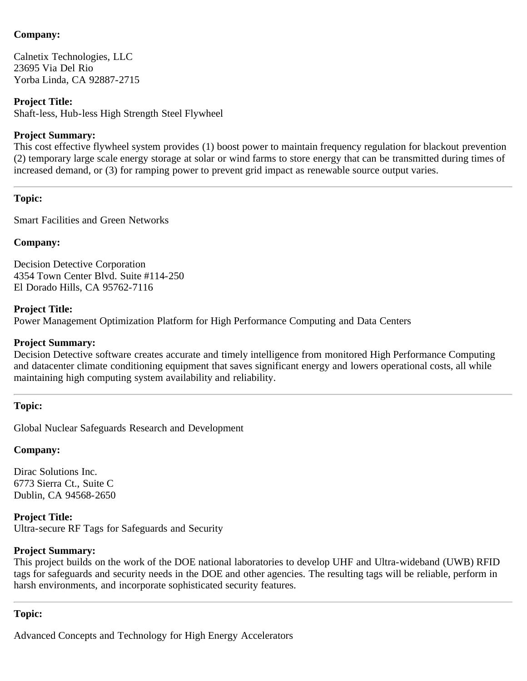Calnetix Technologies, LLC 23695 Via Del Rio Yorba Linda, CA 92887-2715

## **Project Title:**

Shaft-less, Hub-less High Strength Steel Flywheel

## **Project Summary:**

This cost effective flywheel system provides (1) boost power to maintain frequency regulation for blackout prevention (2) temporary large scale energy storage at solar or wind farms to store energy that can be transmitted during times of increased demand, or (3) for ramping power to prevent grid impact as renewable source output varies.

## **Topic:**

Smart Facilities and Green Networks

## **Company:**

Decision Detective Corporation 4354 Town Center Blvd. Suite #114-250 El Dorado Hills, CA 95762-7116

## **Project Title:**

Power Management Optimization Platform for High Performance Computing and Data Centers

## **Project Summary:**

Decision Detective software creates accurate and timely intelligence from monitored High Performance Computing and datacenter climate conditioning equipment that saves significant energy and lowers operational costs, all while maintaining high computing system availability and reliability.

## **Topic:**

Global Nuclear Safeguards Research and Development

# **Company:**

Dirac Solutions Inc. 6773 Sierra Ct., Suite C Dublin, CA 94568-2650

# **Project Title:**

Ultra-secure RF Tags for Safeguards and Security

# **Project Summary:**

This project builds on the work of the DOE national laboratories to develop UHF and Ultra-wideband (UWB) RFID tags for safeguards and security needs in the DOE and other agencies. The resulting tags will be reliable, perform in harsh environments, and incorporate sophisticated security features.

## **Topic:**

Advanced Concepts and Technology for High Energy Accelerators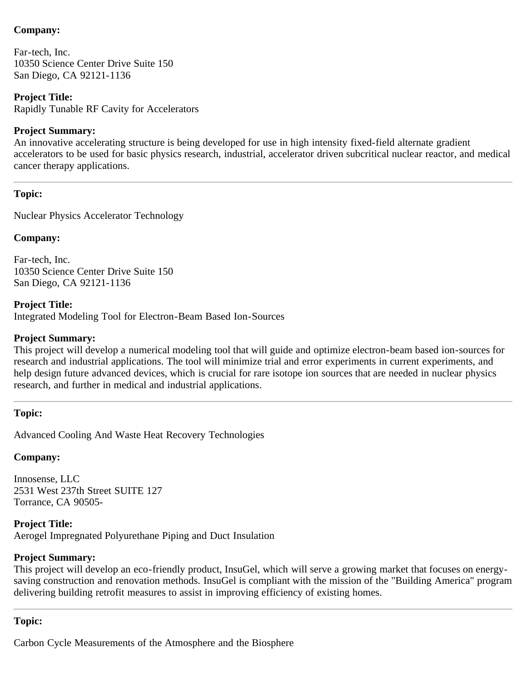Far-tech, Inc. 10350 Science Center Drive Suite 150 San Diego, CA 92121-1136

### **Project Title:**

Rapidly Tunable RF Cavity for Accelerators

#### **Project Summary:**

An innovative accelerating structure is being developed for use in high intensity fixed-field alternate gradient accelerators to be used for basic physics research, industrial, accelerator driven subcritical nuclear reactor, and medical cancer therapy applications.

## **Topic:**

Nuclear Physics Accelerator Technology

### **Company:**

Far-tech, Inc. 10350 Science Center Drive Suite 150 San Diego, CA 92121-1136

**Project Title:** Integrated Modeling Tool for Electron-Beam Based Ion-Sources

#### **Project Summary:**

This project will develop a numerical modeling tool that will guide and optimize electron-beam based ion-sources for research and industrial applications. The tool will minimize trial and error experiments in current experiments, and help design future advanced devices, which is crucial for rare isotope ion sources that are needed in nuclear physics research, and further in medical and industrial applications.

#### **Topic:**

Advanced Cooling And Waste Heat Recovery Technologies

# **Company:**

Innosense, LLC 2531 West 237th Street SUITE 127 Torrance, CA 90505-

**Project Title:** Aerogel Impregnated Polyurethane Piping and Duct Insulation

# **Project Summary:**

This project will develop an eco-friendly product, InsuGel, which will serve a growing market that focuses on energysaving construction and renovation methods. InsuGel is compliant with the mission of the "Building America" program delivering building retrofit measures to assist in improving efficiency of existing homes.

## **Topic:**

Carbon Cycle Measurements of the Atmosphere and the Biosphere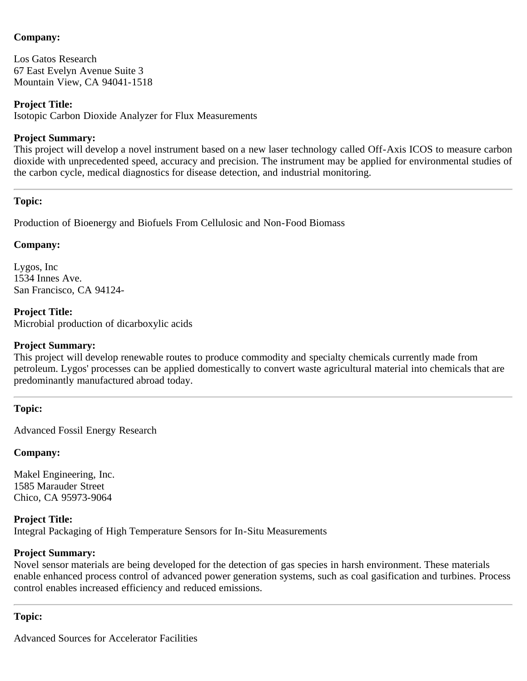Los Gatos Research 67 East Evelyn Avenue Suite 3 Mountain View, CA 94041-1518

### **Project Title:**

Isotopic Carbon Dioxide Analyzer for Flux Measurements

### **Project Summary:**

This project will develop a novel instrument based on a new laser technology called Off-Axis ICOS to measure carbon dioxide with unprecedented speed, accuracy and precision. The instrument may be applied for environmental studies of the carbon cycle, medical diagnostics for disease detection, and industrial monitoring.

## **Topic:**

Production of Bioenergy and Biofuels From Cellulosic and Non-Food Biomass

### **Company:**

Lygos, Inc 1534 Innes Ave. San Francisco, CA 94124-

**Project Title:** Microbial production of dicarboxylic acids

### **Project Summary:**

This project will develop renewable routes to produce commodity and specialty chemicals currently made from petroleum. Lygos' processes can be applied domestically to convert waste agricultural material into chemicals that are predominantly manufactured abroad today.

#### **Topic:**

Advanced Fossil Energy Research

#### **Company:**

Makel Engineering, Inc. 1585 Marauder Street Chico, CA 95973-9064

**Project Title:** Integral Packaging of High Temperature Sensors for In-Situ Measurements

#### **Project Summary:**

Novel sensor materials are being developed for the detection of gas species in harsh environment. These materials enable enhanced process control of advanced power generation systems, such as coal gasification and turbines. Process control enables increased efficiency and reduced emissions.

#### **Topic:**

Advanced Sources for Accelerator Facilities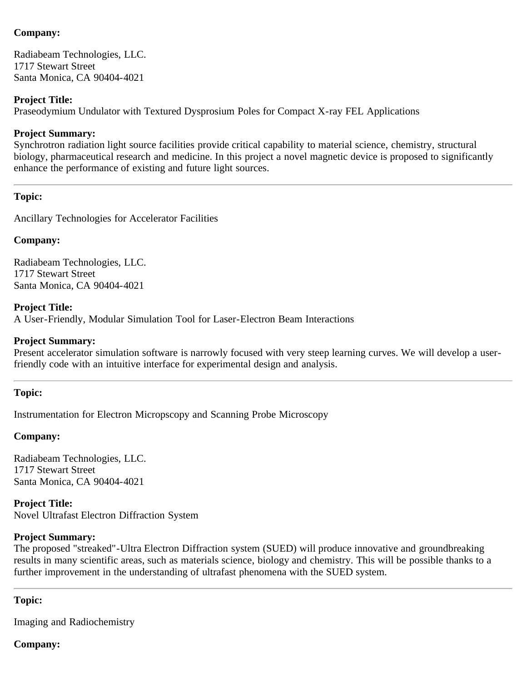Radiabeam Technologies, LLC. 1717 Stewart Street Santa Monica, CA 90404-4021

#### **Project Title:**

Praseodymium Undulator with Textured Dysprosium Poles for Compact X-ray FEL Applications

#### **Project Summary:**

Synchrotron radiation light source facilities provide critical capability to material science, chemistry, structural biology, pharmaceutical research and medicine. In this project a novel magnetic device is proposed to significantly enhance the performance of existing and future light sources.

#### **Topic:**

Ancillary Technologies for Accelerator Facilities

#### **Company:**

Radiabeam Technologies, LLC. 1717 Stewart Street Santa Monica, CA 90404-4021

#### **Project Title:**

A User-Friendly, Modular Simulation Tool for Laser-Electron Beam Interactions

#### **Project Summary:**

Present accelerator simulation software is narrowly focused with very steep learning curves. We will develop a userfriendly code with an intuitive interface for experimental design and analysis.

#### **Topic:**

Instrumentation for Electron Micropscopy and Scanning Probe Microscopy

#### **Company:**

Radiabeam Technologies, LLC. 1717 Stewart Street Santa Monica, CA 90404-4021

**Project Title:** Novel Ultrafast Electron Diffraction System

#### **Project Summary:**

The proposed "streaked"-Ultra Electron Diffraction system (SUED) will produce innovative and groundbreaking results in many scientific areas, such as materials science, biology and chemistry. This will be possible thanks to a further improvement in the understanding of ultrafast phenomena with the SUED system.

#### **Topic:**

Imaging and Radiochemistry

#### **Company:**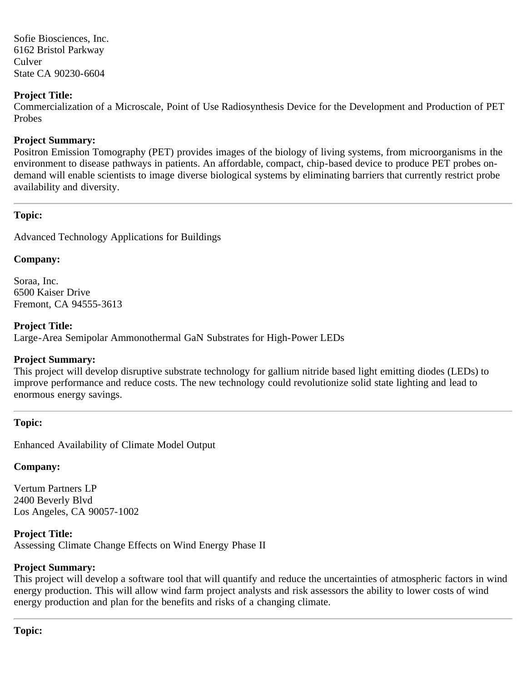Sofie Biosciences, Inc. 6162 Bristol Parkway Culver State CA 90230-6604

### **Project Title:**

Commercialization of a Microscale, Point of Use Radiosynthesis Device for the Development and Production of PET Probes

### **Project Summary:**

Positron Emission Tomography (PET) provides images of the biology of living systems, from microorganisms in the environment to disease pathways in patients. An affordable, compact, chip-based device to produce PET probes ondemand will enable scientists to image diverse biological systems by eliminating barriers that currently restrict probe availability and diversity.

### **Topic:**

Advanced Technology Applications for Buildings

#### **Company:**

Soraa, Inc. 6500 Kaiser Drive Fremont, CA 94555-3613

#### **Project Title:**

Large-Area Semipolar Ammonothermal GaN Substrates for High-Power LEDs

## **Project Summary:**

This project will develop disruptive substrate technology for gallium nitride based light emitting diodes (LEDs) to improve performance and reduce costs. The new technology could revolutionize solid state lighting and lead to enormous energy savings.

#### **Topic:**

Enhanced Availability of Climate Model Output

# **Company:**

Vertum Partners LP 2400 Beverly Blvd Los Angeles, CA 90057-1002

**Project Title:** Assessing Climate Change Effects on Wind Energy Phase II

# **Project Summary:**

<span id="page-7-0"></span>This project will develop a software tool that will quantify and reduce the uncertainties of atmospheric factors in wind energy production. This will allow wind farm project analysts and risk assessors the ability to lower costs of wind energy production and plan for the benefits and risks of a changing climate.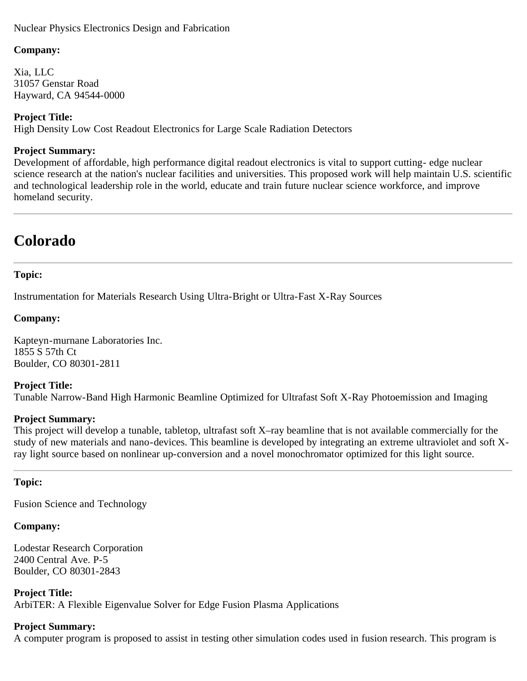### Nuclear Physics Electronics Design and Fabrication

#### **Company:**

Xia, LLC 31057 Genstar Road Hayward, CA 94544-0000

### **Project Title:**

High Density Low Cost Readout Electronics for Large Scale Radiation Detectors

#### **Project Summary:**

Development of affordable, high performance digital readout electronics is vital to support cutting- edge nuclear science research at the nation's nuclear facilities and universities. This proposed work will help maintain U.S. scientific and technological leadership role in the world, educate and train future nuclear science workforce, and improve homeland security.

# **Colorado**

## **Topic:**

Instrumentation for Materials Research Using Ultra-Bright or Ultra-Fast X-Ray Sources

#### **Company:**

Kapteyn-murnane Laboratories Inc. 1855 S 57th Ct Boulder, CO 80301-2811

#### **Project Title:**

Tunable Narrow-Band High Harmonic Beamline Optimized for Ultrafast Soft X-Ray Photoemission and Imaging

#### **Project Summary:**

This project will develop a tunable, tabletop, ultrafast soft X–ray beamline that is not available commercially for the study of new materials and nano-devices. This beamline is developed by integrating an extreme ultraviolet and soft Xray light source based on nonlinear up-conversion and a novel monochromator optimized for this light source.

#### **Topic:**

Fusion Science and Technology

#### **Company:**

Lodestar Research Corporation 2400 Central Ave. P-5 Boulder, CO 80301-2843

**Project Title:** ArbiTER: A Flexible Eigenvalue Solver for Edge Fusion Plasma Applications

#### **Project Summary:**

A computer program is proposed to assist in testing other simulation codes used in fusion research. This program is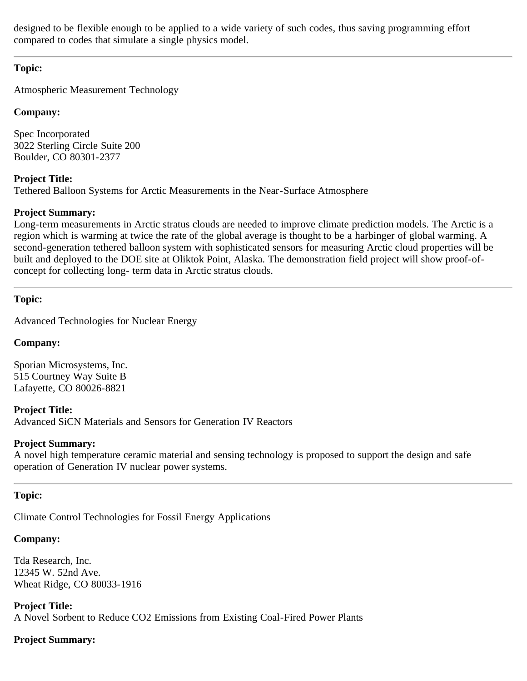designed to be flexible enough to be applied to a wide variety of such codes, thus saving programming effort compared to codes that simulate a single physics model.

## **Topic:**

Atmospheric Measurement Technology

## **Company:**

Spec Incorporated 3022 Sterling Circle Suite 200 Boulder, CO 80301-2377

# **Project Title:**

Tethered Balloon Systems for Arctic Measurements in the Near-Surface Atmosphere

# **Project Summary:**

Long-term measurements in Arctic stratus clouds are needed to improve climate prediction models. The Arctic is a region which is warming at twice the rate of the global average is thought to be a harbinger of global warming. A second-generation tethered balloon system with sophisticated sensors for measuring Arctic cloud properties will be built and deployed to the DOE site at Oliktok Point, Alaska. The demonstration field project will show proof-ofconcept for collecting long- term data in Arctic stratus clouds.

## **Topic:**

Advanced Technologies for Nuclear Energy

# **Company:**

Sporian Microsystems, Inc. 515 Courtney Way Suite B Lafayette, CO 80026-8821

# **Project Title:**

Advanced SiCN Materials and Sensors for Generation IV Reactors

## **Project Summary:**

A novel high temperature ceramic material and sensing technology is proposed to support the design and safe operation of Generation IV nuclear power systems.

# **Topic:**

Climate Control Technologies for Fossil Energy Applications

# **Company:**

Tda Research, Inc. 12345 W. 52nd Ave. Wheat Ridge, CO 80033-1916

**Project Title:** A Novel Sorbent to Reduce CO2 Emissions from Existing Coal-Fired Power Plants

# **Project Summary:**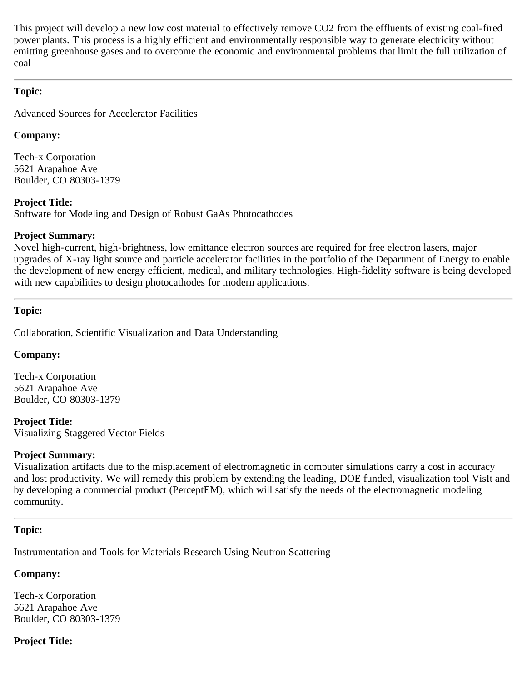This project will develop a new low cost material to effectively remove CO2 from the effluents of existing coal-fired power plants. This process is a highly efficient and environmentally responsible way to generate electricity without emitting greenhouse gases and to overcome the economic and environmental problems that limit the full utilization of coal

## **Topic:**

Advanced Sources for Accelerator Facilities

## **Company:**

Tech-x Corporation 5621 Arapahoe Ave Boulder, CO 80303-1379

## **Project Title:**

Software for Modeling and Design of Robust GaAs Photocathodes

## **Project Summary:**

Novel high-current, high-brightness, low emittance electron sources are required for free electron lasers, major upgrades of X-ray light source and particle accelerator facilities in the portfolio of the Department of Energy to enable the development of new energy efficient, medical, and military technologies. High-fidelity software is being developed with new capabilities to design photocathodes for modern applications.

## **Topic:**

Collaboration, Scientific Visualization and Data Understanding

## **Company:**

Tech-x Corporation 5621 Arapahoe Ave Boulder, CO 80303-1379

**Project Title:** Visualizing Staggered Vector Fields

# **Project Summary:**

Visualization artifacts due to the misplacement of electromagnetic in computer simulations carry a cost in accuracy and lost productivity. We will remedy this problem by extending the leading, DOE funded, visualization tool VisIt and by developing a commercial product (PerceptEM), which will satisfy the needs of the electromagnetic modeling community.

## <span id="page-10-0"></span>**Topic:**

Instrumentation and Tools for Materials Research Using Neutron Scattering

# **Company:**

Tech-x Corporation 5621 Arapahoe Ave Boulder, CO 80303-1379

# **Project Title:**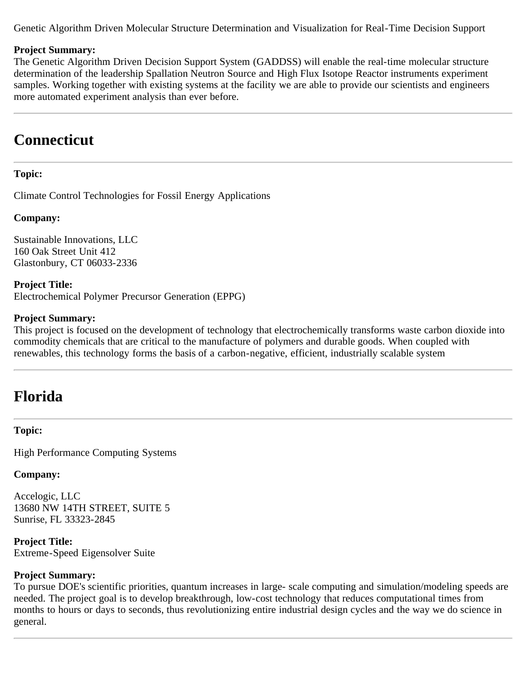Genetic Algorithm Driven Molecular Structure Determination and Visualization for Real-Time Decision Support

#### **Project Summary:**

The Genetic Algorithm Driven Decision Support System (GADDSS) will enable the real-time molecular structure determination of the leadership Spallation Neutron Source and High Flux Isotope Reactor instruments experiment samples. Working together with existing systems at the facility we are able to provide our scientists and engineers more automated experiment analysis than ever before.

# <span id="page-11-0"></span>**Connecticut**

### **Topic:**

Climate Control Technologies for Fossil Energy Applications

#### **Company:**

Sustainable Innovations, LLC 160 Oak Street Unit 412 Glastonbury, CT 06033-2336

**Project Title:** Electrochemical Polymer Precursor Generation (EPPG)

#### **Project Summary:**

This project is focused on the development of technology that electrochemically transforms waste carbon dioxide into commodity chemicals that are critical to the manufacture of polymers and durable goods. When coupled with renewables, this technology forms the basis of a carbon-negative, efficient, industrially scalable system

# **Florida**

#### **Topic:**

High Performance Computing Systems

#### **Company:**

Accelogic, LLC 13680 NW 14TH STREET, SUITE 5 Sunrise, FL 33323-2845

**Project Title:** Extreme-Speed Eigensolver Suite

#### **Project Summary:**

To pursue DOE's scientific priorities, quantum increases in large- scale computing and simulation/modeling speeds are needed. The project goal is to develop breakthrough, low-cost technology that reduces computational times from months to hours or days to seconds, thus revolutionizing entire industrial design cycles and the way we do science in general.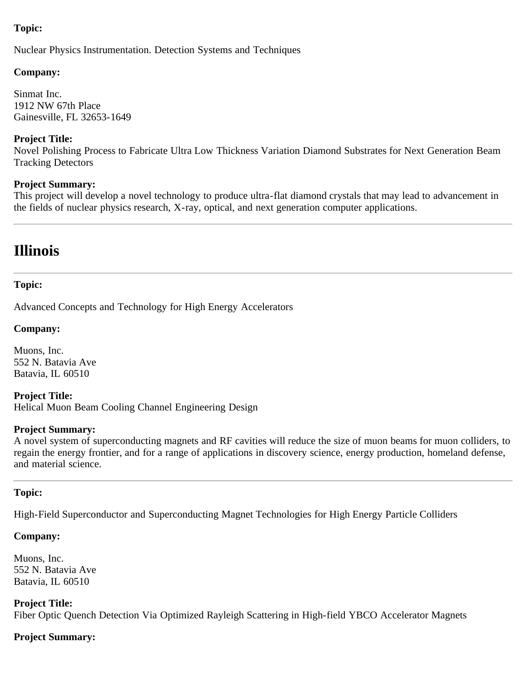## <span id="page-12-0"></span>**Topic:**

Nuclear Physics Instrumentation. Detection Systems and Techniques

### **Company:**

Sinmat Inc. 1912 NW 67th Place Gainesville, FL 32653-1649

### **Project Title:**

Novel Polishing Process to Fabricate Ultra Low Thickness Variation Diamond Substrates for Next Generation Beam Tracking Detectors

### **Project Summary:**

This project will develop a novel technology to produce ultra-flat diamond crystals that may lead to advancement in the fields of nuclear physics research, X-ray, optical, and next generation computer applications.

# **Illinois**

### **Topic:**

Advanced Concepts and Technology for High Energy Accelerators

### **Company:**

Muons, Inc. 552 N. Batavia Ave Batavia, IL 60510

**Project Title:** Helical Muon Beam Cooling Channel Engineering Design

#### **Project Summary:**

A novel system of superconducting magnets and RF cavities will reduce the size of muon beams for muon colliders, to regain the energy frontier, and for a range of applications in discovery science, energy production, homeland defense, and material science.

## **Topic:**

High-Field Superconductor and Superconducting Magnet Technologies for High Energy Particle Colliders

## **Company:**

Muons, Inc. 552 N. Batavia Ave Batavia, IL 60510

**Project Title:** Fiber Optic Quench Detection Via Optimized Rayleigh Scattering in High-field YBCO Accelerator Magnets

## **Project Summary:**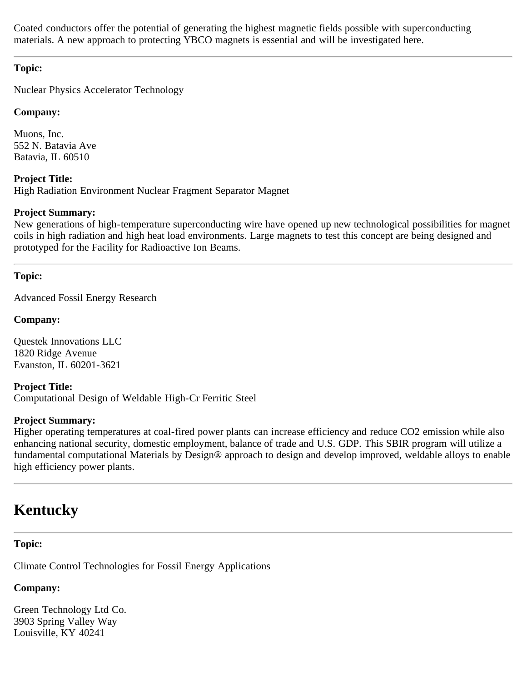Coated conductors offer the potential of generating the highest magnetic fields possible with superconducting materials. A new approach to protecting YBCO magnets is essential and will be investigated here.

## **Topic:**

Nuclear Physics Accelerator Technology

## **Company:**

Muons, Inc. 552 N. Batavia Ave Batavia, IL 60510

**Project Title:** High Radiation Environment Nuclear Fragment Separator Magnet

## **Project Summary:**

New generations of high-temperature superconducting wire have opened up new technological possibilities for magnet coils in high radiation and high heat load environments. Large magnets to test this concept are being designed and prototyped for the Facility for Radioactive Ion Beams.

# <span id="page-13-0"></span>**Topic:**

Advanced Fossil Energy Research

## **Company:**

Questek Innovations LLC 1820 Ridge Avenue Evanston, IL 60201-3621

**Project Title:** Computational Design of Weldable High-Cr Ferritic Steel

## **Project Summary:**

Higher operating temperatures at coal-fired power plants can increase efficiency and reduce CO2 emission while also enhancing national security, domestic employment, balance of trade and U.S. GDP. This SBIR program will utilize a fundamental computational Materials by Design® approach to design and develop improved, weldable alloys to enable high efficiency power plants.

# <span id="page-13-1"></span>**Kentucky**

# **Topic:**

Climate Control Technologies for Fossil Energy Applications

# **Company:**

Green Technology Ltd Co. 3903 Spring Valley Way Louisville, KY 40241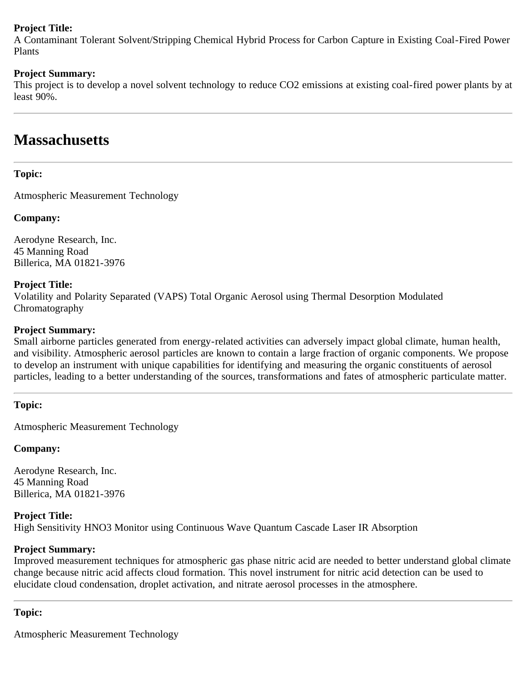## **Project Title:**

A Contaminant Tolerant Solvent/Stripping Chemical Hybrid Process for Carbon Capture in Existing Coal-Fired Power Plants

### **Project Summary:**

This project is to develop a novel solvent technology to reduce CO2 emissions at existing coal-fired power plants by at least 90%.

# **Massachusetts**

### **Topic:**

Atmospheric Measurement Technology

### **Company:**

Aerodyne Research, Inc. 45 Manning Road Billerica, MA 01821-3976

#### **Project Title:**

Volatility and Polarity Separated (VAPS) Total Organic Aerosol using Thermal Desorption Modulated Chromatography

#### **Project Summary:**

Small airborne particles generated from energy-related activities can adversely impact global climate, human health, and visibility. Atmospheric aerosol particles are known to contain a large fraction of organic components. We propose to develop an instrument with unique capabilities for identifying and measuring the organic constituents of aerosol particles, leading to a better understanding of the sources, transformations and fates of atmospheric particulate matter.

**Topic:**

Atmospheric Measurement Technology

## **Company:**

Aerodyne Research, Inc. 45 Manning Road Billerica, MA 01821-3976

#### **Project Title:**

High Sensitivity HNO3 Monitor using Continuous Wave Quantum Cascade Laser IR Absorption

#### **Project Summary:**

Improved measurement techniques for atmospheric gas phase nitric acid are needed to better understand global climate change because nitric acid affects cloud formation. This novel instrument for nitric acid detection can be used to elucidate cloud condensation, droplet activation, and nitrate aerosol processes in the atmosphere.

#### **Topic:**

Atmospheric Measurement Technology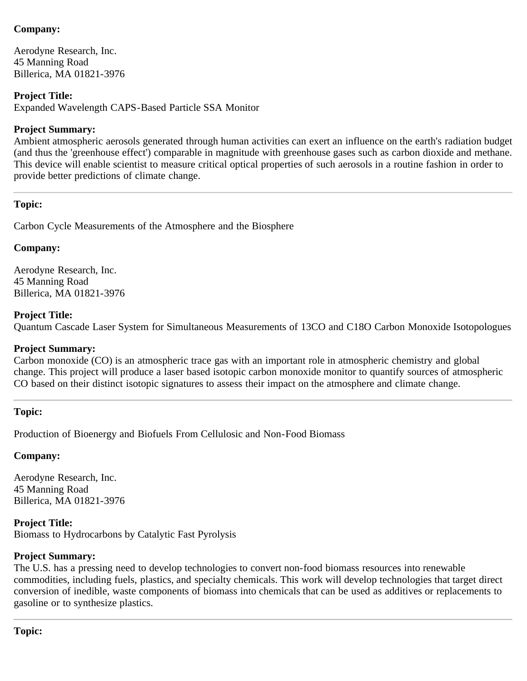Aerodyne Research, Inc. 45 Manning Road Billerica, MA 01821-3976

## **Project Title:**

Expanded Wavelength CAPS-Based Particle SSA Monitor

## **Project Summary:**

Ambient atmospheric aerosols generated through human activities can exert an influence on the earth's radiation budget (and thus the 'greenhouse effect') comparable in magnitude with greenhouse gases such as carbon dioxide and methane. This device will enable scientist to measure critical optical properties of such aerosols in a routine fashion in order to provide better predictions of climate change.

## **Topic:**

Carbon Cycle Measurements of the Atmosphere and the Biosphere

## **Company:**

Aerodyne Research, Inc. 45 Manning Road Billerica, MA 01821-3976

## **Project Title:**

Quantum Cascade Laser System for Simultaneous Measurements of 13CO and C18O Carbon Monoxide Isotopologues

## **Project Summary:**

Carbon monoxide (CO) is an atmospheric trace gas with an important role in atmospheric chemistry and global change. This project will produce a laser based isotopic carbon monoxide monitor to quantify sources of atmospheric CO based on their distinct isotopic signatures to assess their impact on the atmosphere and climate change.

## **Topic:**

Production of Bioenergy and Biofuels From Cellulosic and Non-Food Biomass

## **Company:**

Aerodyne Research, Inc. 45 Manning Road Billerica, MA 01821-3976

## **Project Title:**

Biomass to Hydrocarbons by Catalytic Fast Pyrolysis

## **Project Summary:**

The U.S. has a pressing need to develop technologies to convert non-food biomass resources into renewable commodities, including fuels, plastics, and specialty chemicals. This work will develop technologies that target direct conversion of inedible, waste components of biomass into chemicals that can be used as additives or replacements to gasoline or to synthesize plastics.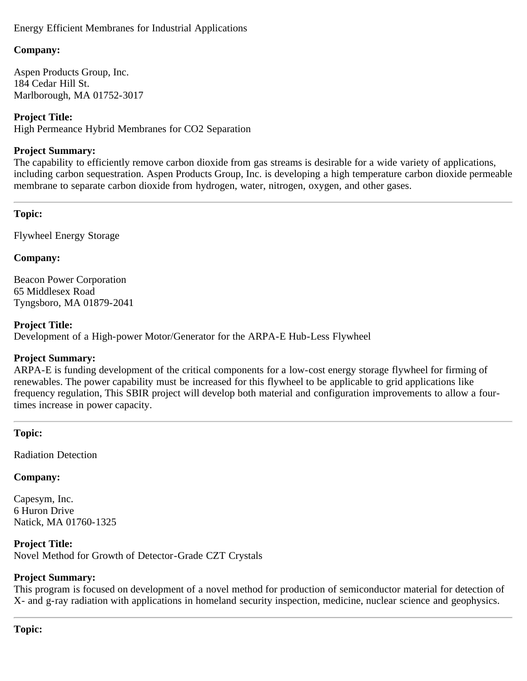Energy Efficient Membranes for Industrial Applications

## **Company:**

Aspen Products Group, Inc. 184 Cedar Hill St. Marlborough, MA 01752-3017

## **Project Title:**

High Permeance Hybrid Membranes for CO2 Separation

## **Project Summary:**

The capability to efficiently remove carbon dioxide from gas streams is desirable for a wide variety of applications, including carbon sequestration. Aspen Products Group, Inc. is developing a high temperature carbon dioxide permeable membrane to separate carbon dioxide from hydrogen, water, nitrogen, oxygen, and other gases.

## **Topic:**

Flywheel Energy Storage

## **Company:**

Beacon Power Corporation 65 Middlesex Road Tyngsboro, MA 01879-2041

## **Project Title:**

Development of a High-power Motor/Generator for the ARPA-E Hub-Less Flywheel

## **Project Summary:**

ARPA-E is funding development of the critical components for a low-cost energy storage flywheel for firming of renewables. The power capability must be increased for this flywheel to be applicable to grid applications like frequency regulation, This SBIR project will develop both material and configuration improvements to allow a fourtimes increase in power capacity.

# **Topic:**

Radiation Detection

# **Company:**

Capesym, Inc. 6 Huron Drive Natick, MA 01760-1325

**Project Title:** Novel Method for Growth of Detector-Grade CZT Crystals

# **Project Summary:**

This program is focused on development of a novel method for production of semiconductor material for detection of X- and g-ray radiation with applications in homeland security inspection, medicine, nuclear science and geophysics.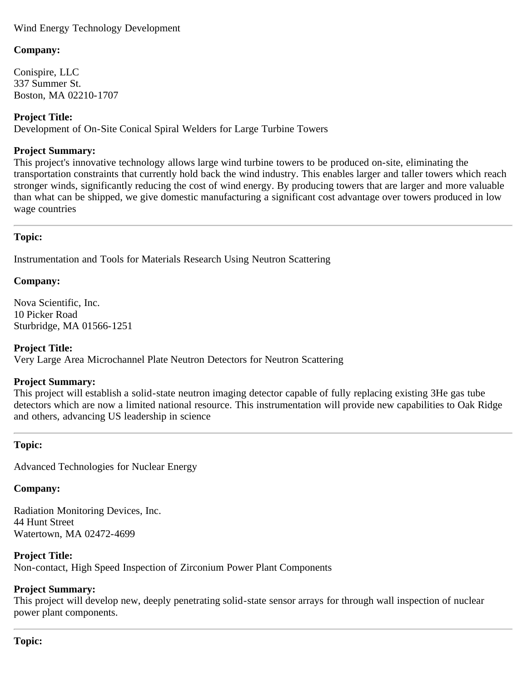## Wind Energy Technology Development

## **Company:**

Conispire, LLC 337 Summer St. Boston, MA 02210-1707

## **Project Title:**

Development of On-Site Conical Spiral Welders for Large Turbine Towers

#### **Project Summary:**

This project's innovative technology allows large wind turbine towers to be produced on-site, eliminating the transportation constraints that currently hold back the wind industry. This enables larger and taller towers which reach stronger winds, significantly reducing the cost of wind energy. By producing towers that are larger and more valuable than what can be shipped, we give domestic manufacturing a significant cost advantage over towers produced in low wage countries

## **Topic:**

Instrumentation and Tools for Materials Research Using Neutron Scattering

### **Company:**

Nova Scientific, Inc. 10 Picker Road Sturbridge, MA 01566-1251

## **Project Title:**

Very Large Area Microchannel Plate Neutron Detectors for Neutron Scattering

#### **Project Summary:**

This project will establish a solid-state neutron imaging detector capable of fully replacing existing 3He gas tube detectors which are now a limited national resource. This instrumentation will provide new capabilities to Oak Ridge and others, advancing US leadership in science

## **Topic:**

Advanced Technologies for Nuclear Energy

#### **Company:**

Radiation Monitoring Devices, Inc. 44 Hunt Street Watertown, MA 02472-4699

#### **Project Title:**

Non-contact, High Speed Inspection of Zirconium Power Plant Components

## **Project Summary:**

This project will develop new, deeply penetrating solid-state sensor arrays for through wall inspection of nuclear power plant components.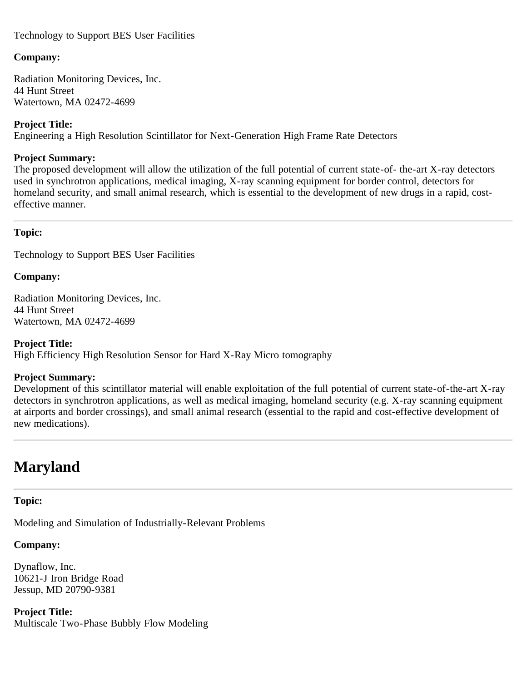## Technology to Support BES User Facilities

### **Company:**

Radiation Monitoring Devices, Inc. 44 Hunt Street Watertown, MA 02472-4699

### **Project Title:**

Engineering a High Resolution Scintillator for Next-Generation High Frame Rate Detectors

### **Project Summary:**

The proposed development will allow the utilization of the full potential of current state-of- the-art X-ray detectors used in synchrotron applications, medical imaging, X-ray scanning equipment for border control, detectors for homeland security, and small animal research, which is essential to the development of new drugs in a rapid, costeffective manner.

## <span id="page-18-0"></span>**Topic:**

Technology to Support BES User Facilities

## **Company:**

Radiation Monitoring Devices, Inc. 44 Hunt Street Watertown, MA 02472-4699

**Project Title:** High Efficiency High Resolution Sensor for Hard X-Ray Micro tomography

#### **Project Summary:**

Development of this scintillator material will enable exploitation of the full potential of current state-of-the-art X-ray detectors in synchrotron applications, as well as medical imaging, homeland security (e.g. X-ray scanning equipment at airports and border crossings), and small animal research (essential to the rapid and cost-effective development of new medications).

# <span id="page-18-1"></span>**Maryland**

## **Topic:**

Modeling and Simulation of Industrially-Relevant Problems

# **Company:**

Dynaflow, Inc. 10621-J Iron Bridge Road Jessup, MD 20790-9381

**Project Title:** Multiscale Two-Phase Bubbly Flow Modeling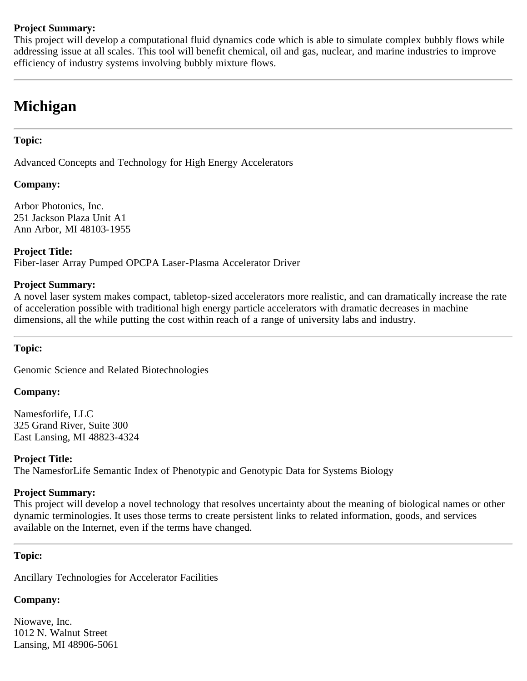### **Project Summary:**

This project will develop a computational fluid dynamics code which is able to simulate complex bubbly flows while addressing issue at all scales. This tool will benefit chemical, oil and gas, nuclear, and marine industries to improve efficiency of industry systems involving bubbly mixture flows.

# **Michigan**

### **Topic:**

Advanced Concepts and Technology for High Energy Accelerators

#### **Company:**

Arbor Photonics, Inc. 251 Jackson Plaza Unit A1 Ann Arbor, MI 48103-1955

**Project Title:** Fiber-laser Array Pumped OPCPA Laser-Plasma Accelerator Driver

#### **Project Summary:**

A novel laser system makes compact, tabletop-sized accelerators more realistic, and can dramatically increase the rate of acceleration possible with traditional high energy particle accelerators with dramatic decreases in machine dimensions, all the while putting the cost within reach of a range of university labs and industry.

#### **Topic:**

Genomic Science and Related Biotechnologies

#### **Company:**

Namesforlife, LLC 325 Grand River, Suite 300 East Lansing, MI 48823-4324

#### **Project Title:**

The NamesforLife Semantic Index of Phenotypic and Genotypic Data for Systems Biology

#### **Project Summary:**

This project will develop a novel technology that resolves uncertainty about the meaning of biological names or other dynamic terminologies. It uses those terms to create persistent links to related information, goods, and services available on the Internet, even if the terms have changed.

#### **Topic:**

Ancillary Technologies for Accelerator Facilities

# **Company:**

Niowave, Inc. 1012 N. Walnut Street Lansing, MI 48906-5061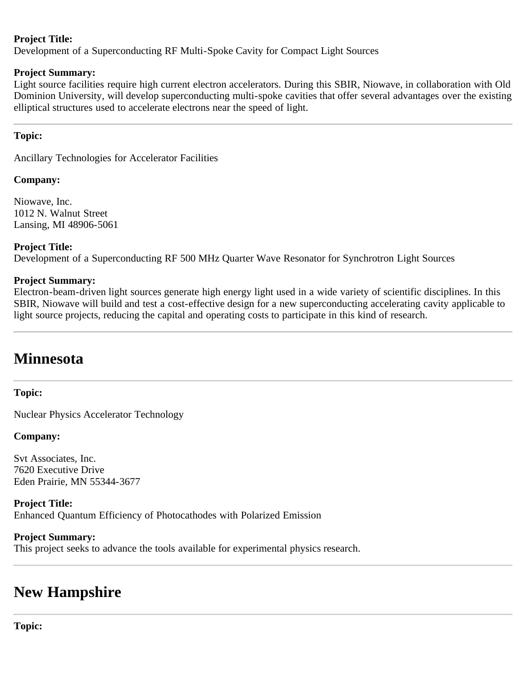## **Project Title:**

Development of a Superconducting RF Multi-Spoke Cavity for Compact Light Sources

## **Project Summary:**

Light source facilities require high current electron accelerators. During this SBIR, Niowave, in collaboration with Old Dominion University, will develop superconducting multi-spoke cavities that offer several advantages over the existing elliptical structures used to accelerate electrons near the speed of light.

## <span id="page-20-0"></span>**Topic:**

Ancillary Technologies for Accelerator Facilities

## **Company:**

Niowave, Inc. 1012 N. Walnut Street Lansing, MI 48906-5061

## **Project Title:**

Development of a Superconducting RF 500 MHz Quarter Wave Resonator for Synchrotron Light Sources

## **Project Summary:**

Electron-beam-driven light sources generate high energy light used in a wide variety of scientific disciplines. In this SBIR, Niowave will build and test a cost-effective design for a new superconducting accelerating cavity applicable to light source projects, reducing the capital and operating costs to participate in this kind of research.

# <span id="page-20-1"></span>**Minnesota**

# **Topic:**

Nuclear Physics Accelerator Technology

## **Company:**

Svt Associates, Inc. 7620 Executive Drive Eden Prairie, MN 55344-3677

**Project Title:** Enhanced Quantum Efficiency of Photocathodes with Polarized Emission

## **Project Summary:**

This project seeks to advance the tools available for experimental physics research.

# **New Hampshire**

**Topic:**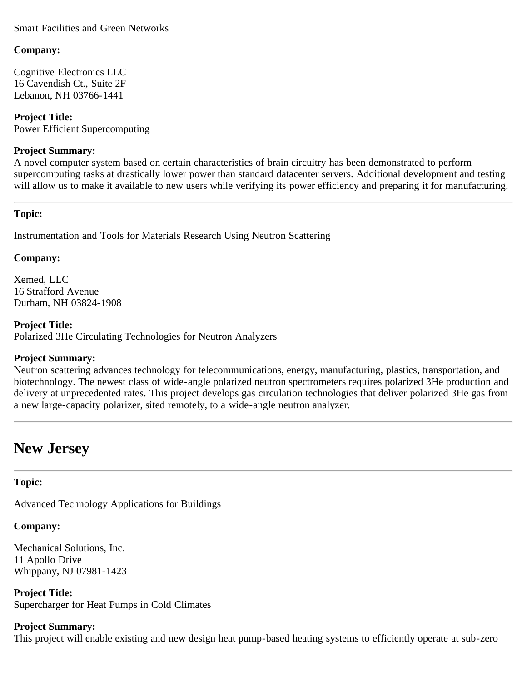### Smart Facilities and Green Networks

#### **Company:**

Cognitive Electronics LLC 16 Cavendish Ct., Suite 2F Lebanon, NH 03766-1441

**Project Title:** Power Efficient Supercomputing

#### **Project Summary:**

A novel computer system based on certain characteristics of brain circuitry has been demonstrated to perform supercomputing tasks at drastically lower power than standard datacenter servers. Additional development and testing will allow us to make it available to new users while verifying its power efficiency and preparing it for manufacturing.

### <span id="page-21-0"></span>**Topic:**

Instrumentation and Tools for Materials Research Using Neutron Scattering

### **Company:**

Xemed, LLC 16 Strafford Avenue Durham, NH 03824-1908

**Project Title:** Polarized 3He Circulating Technologies for Neutron Analyzers

## **Project Summary:**

Neutron scattering advances technology for telecommunications, energy, manufacturing, plastics, transportation, and biotechnology. The newest class of wide-angle polarized neutron spectrometers requires polarized 3He production and delivery at unprecedented rates. This project develops gas circulation technologies that deliver polarized 3He gas from a new large-capacity polarizer, sited remotely, to a wide-angle neutron analyzer.

# <span id="page-21-1"></span>**New Jersey**

## **Topic:**

Advanced Technology Applications for Buildings

# **Company:**

Mechanical Solutions, Inc. 11 Apollo Drive Whippany, NJ 07981-1423

**Project Title:** Supercharger for Heat Pumps in Cold Climates

# **Project Summary:**

This project will enable existing and new design heat pump-based heating systems to efficiently operate at sub-zero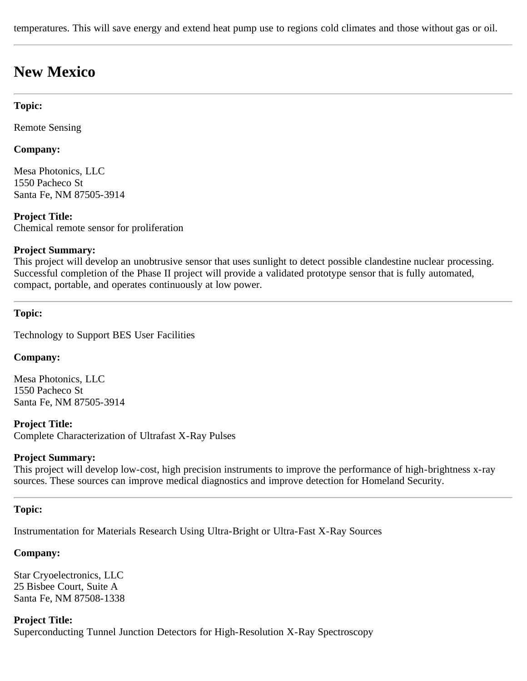temperatures. This will save energy and extend heat pump use to regions cold climates and those without gas or oil.

# **New Mexico**

#### **Topic:**

Remote Sensing

### **Company:**

Mesa Photonics, LLC 1550 Pacheco St Santa Fe, NM 87505-3914

### **Project Title:**

Chemical remote sensor for proliferation

#### **Project Summary:**

This project will develop an unobtrusive sensor that uses sunlight to detect possible clandestine nuclear processing. Successful completion of the Phase II project will provide a validated prototype sensor that is fully automated, compact, portable, and operates continuously at low power.

#### **Topic:**

Technology to Support BES User Facilities

#### **Company:**

Mesa Photonics, LLC 1550 Pacheco St Santa Fe, NM 87505-3914

#### **Project Title:**

Complete Characterization of Ultrafast X-Ray Pulses

#### **Project Summary:**

This project will develop low-cost, high precision instruments to improve the performance of high-brightness x-ray sources. These sources can improve medical diagnostics and improve detection for Homeland Security.

#### **Topic:**

Instrumentation for Materials Research Using Ultra-Bright or Ultra-Fast X-Ray Sources

#### **Company:**

Star Cryoelectronics, LLC 25 Bisbee Court, Suite A Santa Fe, NM 87508-1338

**Project Title:** Superconducting Tunnel Junction Detectors for High-Resolution X-Ray Spectroscopy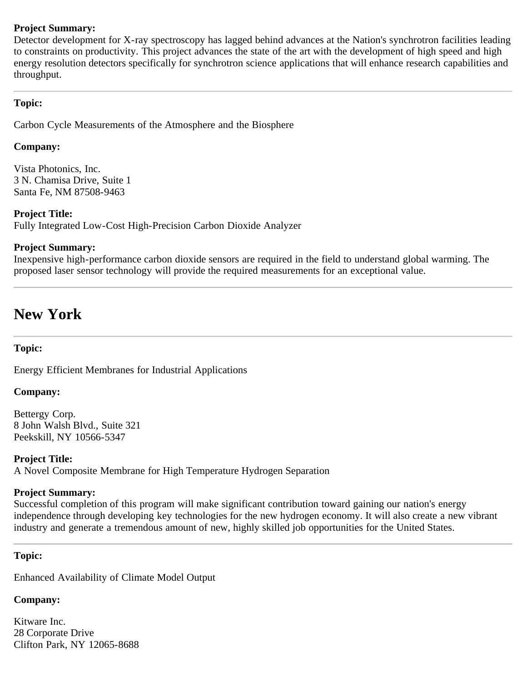### **Project Summary:**

Detector development for X-ray spectroscopy has lagged behind advances at the Nation's synchrotron facilities leading to constraints on productivity. This project advances the state of the art with the development of high speed and high energy resolution detectors specifically for synchrotron science applications that will enhance research capabilities and throughput.

### <span id="page-23-0"></span>**Topic:**

Carbon Cycle Measurements of the Atmosphere and the Biosphere

### **Company:**

Vista Photonics, Inc. 3 N. Chamisa Drive, Suite 1 Santa Fe, NM 87508-9463

#### **Project Title:**

Fully Integrated Low-Cost High-Precision Carbon Dioxide Analyzer

### **Project Summary:**

Inexpensive high-performance carbon dioxide sensors are required in the field to understand global warming. The proposed laser sensor technology will provide the required measurements for an exceptional value.

# **New York**

## **Topic:**

Energy Efficient Membranes for Industrial Applications

## **Company:**

Bettergy Corp. 8 John Walsh Blvd., Suite 321 Peekskill, NY 10566-5347

## **Project Title:**

A Novel Composite Membrane for High Temperature Hydrogen Separation

#### **Project Summary:**

Successful completion of this program will make significant contribution toward gaining our nation's energy independence through developing key technologies for the new hydrogen economy. It will also create a new vibrant industry and generate a tremendous amount of new, highly skilled job opportunities for the United States.

#### **Topic:**

Enhanced Availability of Climate Model Output

## **Company:**

Kitware Inc. 28 Corporate Drive Clifton Park, NY 12065-8688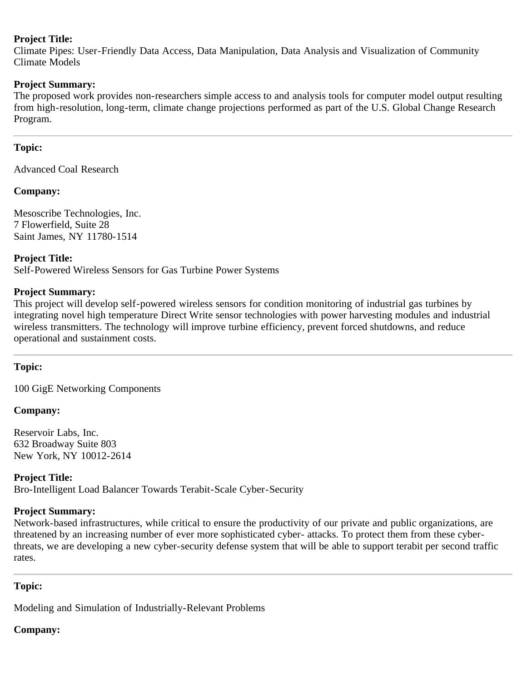### **Project Title:**

Climate Pipes: User-Friendly Data Access, Data Manipulation, Data Analysis and Visualization of Community Climate Models

#### **Project Summary:**

The proposed work provides non-researchers simple access to and analysis tools for computer model output resulting from high-resolution, long-term, climate change projections performed as part of the U.S. Global Change Research Program.

### **Topic:**

Advanced Coal Research

#### **Company:**

Mesoscribe Technologies, Inc. 7 Flowerfield, Suite 28 Saint James, NY 11780-1514

### **Project Title:**

Self-Powered Wireless Sensors for Gas Turbine Power Systems

### **Project Summary:**

This project will develop self-powered wireless sensors for condition monitoring of industrial gas turbines by integrating novel high temperature Direct Write sensor technologies with power harvesting modules and industrial wireless transmitters. The technology will improve turbine efficiency, prevent forced shutdowns, and reduce operational and sustainment costs.

#### **Topic:**

100 GigE Networking Components

#### **Company:**

Reservoir Labs, Inc. 632 Broadway Suite 803 New York, NY 10012-2614

**Project Title:** Bro-Intelligent Load Balancer Towards Terabit-Scale Cyber-Security

#### **Project Summary:**

Network-based infrastructures, while critical to ensure the productivity of our private and public organizations, are threatened by an increasing number of ever more sophisticated cyber- attacks. To protect them from these cyberthreats, we are developing a new cyber-security defense system that will be able to support terabit per second traffic rates.

## <span id="page-24-0"></span>**Topic:**

Modeling and Simulation of Industrially-Relevant Problems

# **Company:**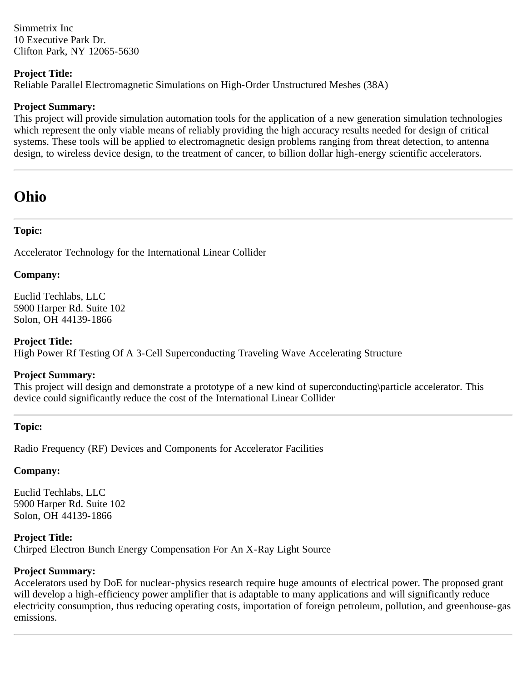Simmetrix Inc 10 Executive Park Dr. Clifton Park, NY 12065-5630

### **Project Title:**

Reliable Parallel Electromagnetic Simulations on High-Order Unstructured Meshes (38A)

### **Project Summary:**

This project will provide simulation automation tools for the application of a new generation simulation technologies which represent the only viable means of reliably providing the high accuracy results needed for design of critical systems. These tools will be applied to electromagnetic design problems ranging from threat detection, to antenna design, to wireless device design, to the treatment of cancer, to billion dollar high-energy scientific accelerators.

# **Ohio**

## **Topic:**

Accelerator Technology for the International Linear Collider

### **Company:**

Euclid Techlabs, LLC 5900 Harper Rd. Suite 102 Solon, OH 44139-1866

#### **Project Title:**

High Power Rf Testing Of A 3-Cell Superconducting Traveling Wave Accelerating Structure

#### **Project Summary:**

This project will design and demonstrate a prototype of a new kind of superconducting\particle accelerator. This device could significantly reduce the cost of the International Linear Collider

#### **Topic:**

Radio Frequency (RF) Devices and Components for Accelerator Facilities

## **Company:**

Euclid Techlabs, LLC 5900 Harper Rd. Suite 102 Solon, OH 44139-1866

## **Project Title:**

Chirped Electron Bunch Energy Compensation For An X-Ray Light Source

# **Project Summary:**

Accelerators used by DoE for nuclear-physics research require huge amounts of electrical power. The proposed grant will develop a high-efficiency power amplifier that is adaptable to many applications and will significantly reduce electricity consumption, thus reducing operating costs, importation of foreign petroleum, pollution, and greenhouse-gas emissions.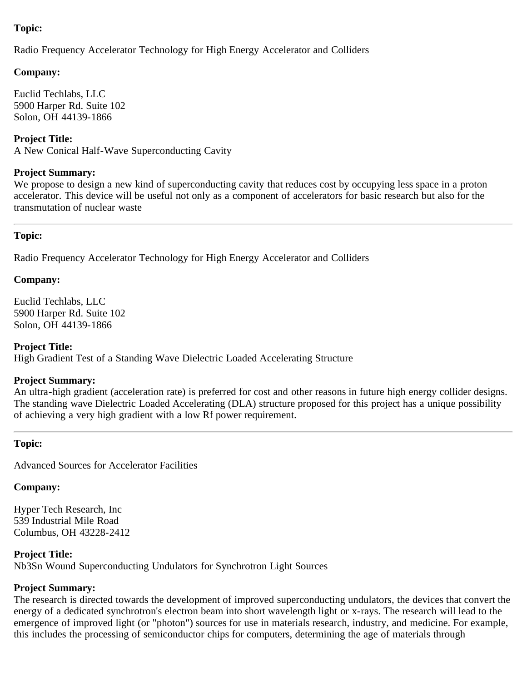## **Topic:**

Radio Frequency Accelerator Technology for High Energy Accelerator and Colliders

## **Company:**

Euclid Techlabs, LLC 5900 Harper Rd. Suite 102 Solon, OH 44139-1866

**Project Title:** A New Conical Half-Wave Superconducting Cavity

## **Project Summary:**

We propose to design a new kind of superconducting cavity that reduces cost by occupying less space in a proton accelerator. This device will be useful not only as a component of accelerators for basic research but also for the transmutation of nuclear waste

## **Topic:**

Radio Frequency Accelerator Technology for High Energy Accelerator and Colliders

## **Company:**

Euclid Techlabs, LLC 5900 Harper Rd. Suite 102 Solon, OH 44139-1866

## **Project Title:**

High Gradient Test of a Standing Wave Dielectric Loaded Accelerating Structure

#### **Project Summary:**

An ultra-high gradient (acceleration rate) is preferred for cost and other reasons in future high energy collider designs. The standing wave Dielectric Loaded Accelerating (DLA) structure proposed for this project has a unique possibility of achieving a very high gradient with a low Rf power requirement.

## **Topic:**

Advanced Sources for Accelerator Facilities

# **Company:**

Hyper Tech Research, Inc 539 Industrial Mile Road Columbus, OH 43228-2412

# **Project Title:**

Nb3Sn Wound Superconducting Undulators for Synchrotron Light Sources

# **Project Summary:**

The research is directed towards the development of improved superconducting undulators, the devices that convert the energy of a dedicated synchrotron's electron beam into short wavelength light or x-rays. The research will lead to the emergence of improved light (or "photon") sources for use in materials research, industry, and medicine. For example, this includes the processing of semiconductor chips for computers, determining the age of materials through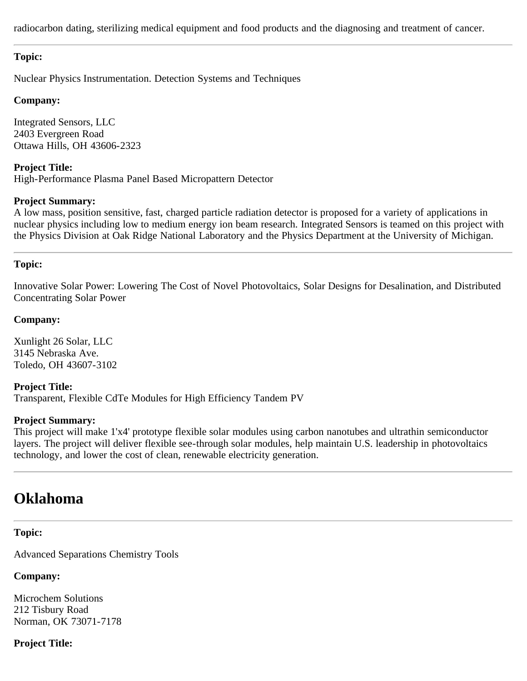radiocarbon dating, sterilizing medical equipment and food products and the diagnosing and treatment of cancer.

### **Topic:**

Nuclear Physics Instrumentation. Detection Systems and Techniques

#### **Company:**

Integrated Sensors, LLC 2403 Evergreen Road Ottawa Hills, OH 43606-2323

**Project Title:** High-Performance Plasma Panel Based Micropattern Detector

#### **Project Summary:**

A low mass, position sensitive, fast, charged particle radiation detector is proposed for a variety of applications in nuclear physics including low to medium energy ion beam research. Integrated Sensors is teamed on this project with the Physics Division at Oak Ridge National Laboratory and the Physics Department at the University of Michigan.

## <span id="page-27-0"></span>**Topic:**

Innovative Solar Power: Lowering The Cost of Novel Photovoltaics, Solar Designs for Desalination, and Distributed Concentrating Solar Power

### **Company:**

Xunlight 26 Solar, LLC 3145 Nebraska Ave. Toledo, OH 43607-3102

**Project Title:** Transparent, Flexible CdTe Modules for High Efficiency Tandem PV

#### **Project Summary:**

This project will make 1'x4' prototype flexible solar modules using carbon nanotubes and ultrathin semiconductor layers. The project will deliver flexible see-through solar modules, help maintain U.S. leadership in photovoltaics technology, and lower the cost of clean, renewable electricity generation.

# <span id="page-27-1"></span>**Oklahoma**

## **Topic:**

Advanced Separations Chemistry Tools

# **Company:**

Microchem Solutions 212 Tisbury Road Norman, OK 73071-7178

# **Project Title:**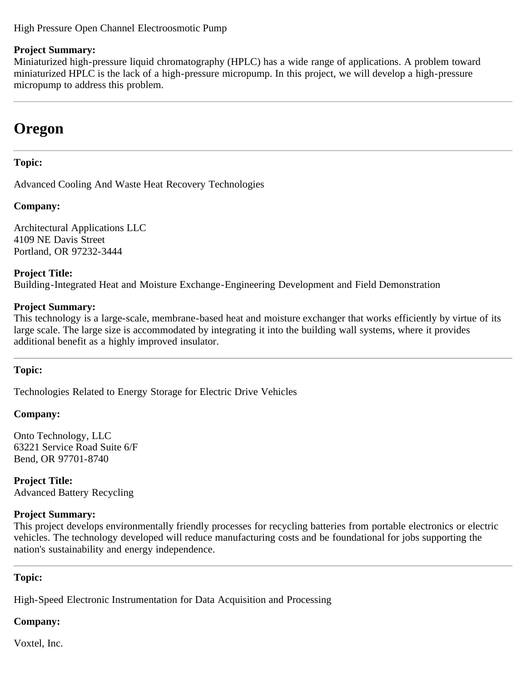### High Pressure Open Channel Electroosmotic Pump

#### **Project Summary:**

Miniaturized high-pressure liquid chromatography (HPLC) has a wide range of applications. A problem toward miniaturized HPLC is the lack of a high-pressure micropump. In this project, we will develop a high-pressure micropump to address this problem.

# **Oregon**

### **Topic:**

Advanced Cooling And Waste Heat Recovery Technologies

### **Company:**

Architectural Applications LLC 4109 NE Davis Street Portland, OR 97232-3444

**Project Title:** Building-Integrated Heat and Moisture Exchange-Engineering Development and Field Demonstration

#### **Project Summary:**

This technology is a large-scale, membrane-based heat and moisture exchanger that works efficiently by virtue of its large scale. The large size is accommodated by integrating it into the building wall systems, where it provides additional benefit as a highly improved insulator.

#### **Topic:**

Technologies Related to Energy Storage for Electric Drive Vehicles

#### **Company:**

Onto Technology, LLC 63221 Service Road Suite 6/F Bend, OR 97701-8740

**Project Title:** Advanced Battery Recycling

#### **Project Summary:**

This project develops environmentally friendly processes for recycling batteries from portable electronics or electric vehicles. The technology developed will reduce manufacturing costs and be foundational for jobs supporting the nation's sustainability and energy independence.

## <span id="page-28-0"></span>**Topic:**

High-Speed Electronic Instrumentation for Data Acquisition and Processing

## **Company:**

Voxtel, Inc.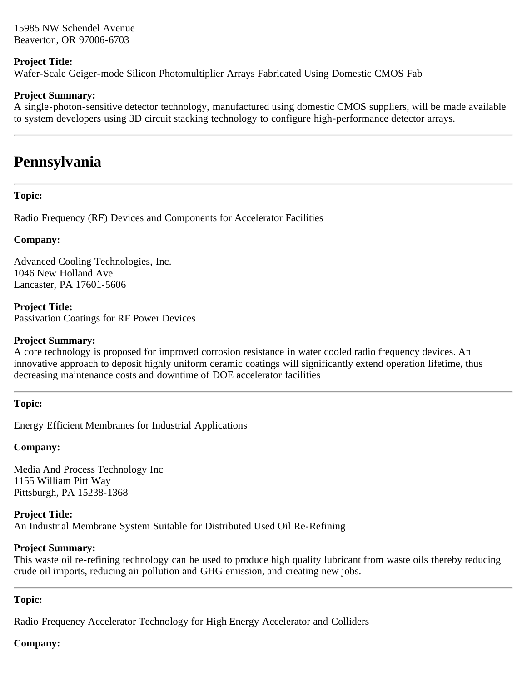15985 NW Schendel Avenue Beaverton, OR 97006-6703

### **Project Title:**

Wafer-Scale Geiger-mode Silicon Photomultiplier Arrays Fabricated Using Domestic CMOS Fab

### **Project Summary:**

A single-photon-sensitive detector technology, manufactured using domestic CMOS suppliers, will be made available to system developers using 3D circuit stacking technology to configure high-performance detector arrays.

# **Pennsylvania**

### **Topic:**

Radio Frequency (RF) Devices and Components for Accelerator Facilities

### **Company:**

Advanced Cooling Technologies, Inc. 1046 New Holland Ave Lancaster, PA 17601-5606

**Project Title:** Passivation Coatings for RF Power Devices

#### **Project Summary:**

A core technology is proposed for improved corrosion resistance in water cooled radio frequency devices. An innovative approach to deposit highly uniform ceramic coatings will significantly extend operation lifetime, thus decreasing maintenance costs and downtime of DOE accelerator facilities

## **Topic:**

Energy Efficient Membranes for Industrial Applications

## **Company:**

Media And Process Technology Inc 1155 William Pitt Way Pittsburgh, PA 15238-1368

**Project Title:** An Industrial Membrane System Suitable for Distributed Used Oil Re-Refining

#### **Project Summary:**

This waste oil re-refining technology can be used to produce high quality lubricant from waste oils thereby reducing crude oil imports, reducing air pollution and GHG emission, and creating new jobs.

## <span id="page-29-0"></span>**Topic:**

Radio Frequency Accelerator Technology for High Energy Accelerator and Colliders

# **Company:**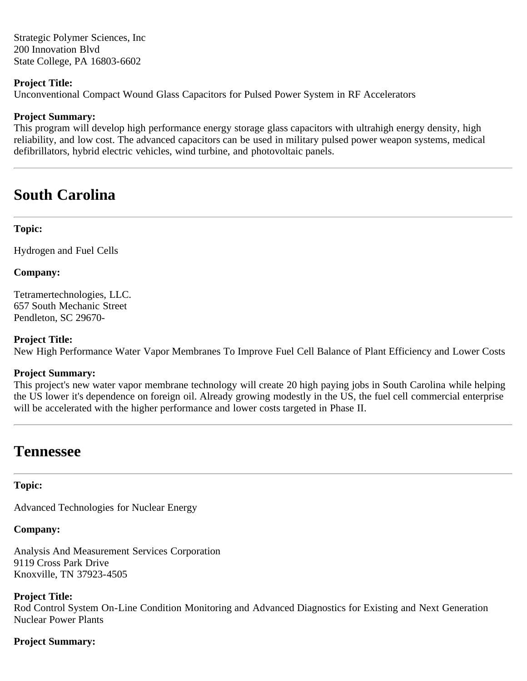Strategic Polymer Sciences, Inc 200 Innovation Blvd State College, PA 16803-6602

#### **Project Title:**

Unconventional Compact Wound Glass Capacitors for Pulsed Power System in RF Accelerators

### **Project Summary:**

This program will develop high performance energy storage glass capacitors with ultrahigh energy density, high reliability, and low cost. The advanced capacitors can be used in military pulsed power weapon systems, medical defibrillators, hybrid electric vehicles, wind turbine, and photovoltaic panels.

# <span id="page-30-0"></span>**South Carolina**

### **Topic:**

Hydrogen and Fuel Cells

#### **Company:**

Tetramertechnologies, LLC. 657 South Mechanic Street Pendleton, SC 29670-

#### **Project Title:**

New High Performance Water Vapor Membranes To Improve Fuel Cell Balance of Plant Efficiency and Lower Costs

#### **Project Summary:**

This project's new water vapor membrane technology will create 20 high paying jobs in South Carolina while helping the US lower it's dependence on foreign oil. Already growing modestly in the US, the fuel cell commercial enterprise will be accelerated with the higher performance and lower costs targeted in Phase II.

# **Tennessee**

#### **Topic:**

Advanced Technologies for Nuclear Energy

#### **Company:**

Analysis And Measurement Services Corporation 9119 Cross Park Drive Knoxville, TN 37923-4505

#### **Project Title:**

Rod Control System On-Line Condition Monitoring and Advanced Diagnostics for Existing and Next Generation Nuclear Power Plants

#### **Project Summary:**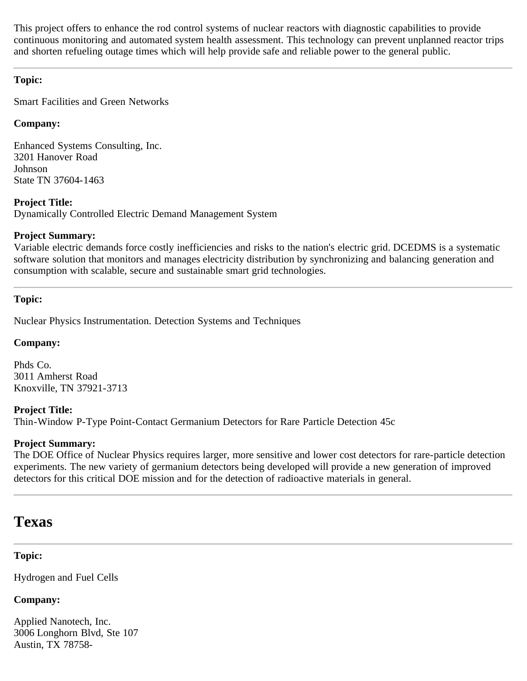This project offers to enhance the rod control systems of nuclear reactors with diagnostic capabilities to provide continuous monitoring and automated system health assessment. This technology can prevent unplanned reactor trips and shorten refueling outage times which will help provide safe and reliable power to the general public.

## **Topic:**

Smart Facilities and Green Networks

## **Company:**

Enhanced Systems Consulting, Inc. 3201 Hanover Road Johnson State TN 37604-1463

## **Project Title:**

Dynamically Controlled Electric Demand Management System

## **Project Summary:**

Variable electric demands force costly inefficiencies and risks to the nation's electric grid. DCEDMS is a systematic software solution that monitors and manages electricity distribution by synchronizing and balancing generation and consumption with scalable, secure and sustainable smart grid technologies.

### <span id="page-31-0"></span>**Topic:**

Nuclear Physics Instrumentation. Detection Systems and Techniques

## **Company:**

Phds Co. 3011 Amherst Road Knoxville, TN 37921-3713

## **Project Title:**

Thin-Window P-Type Point-Contact Germanium Detectors for Rare Particle Detection 45c

## **Project Summary:**

The DOE Office of Nuclear Physics requires larger, more sensitive and lower cost detectors for rare-particle detection experiments. The new variety of germanium detectors being developed will provide a new generation of improved detectors for this critical DOE mission and for the detection of radioactive materials in general.

# **Texas**

## **Topic:**

Hydrogen and Fuel Cells

# **Company:**

Applied Nanotech, Inc. 3006 Longhorn Blvd, Ste 107 Austin, TX 78758-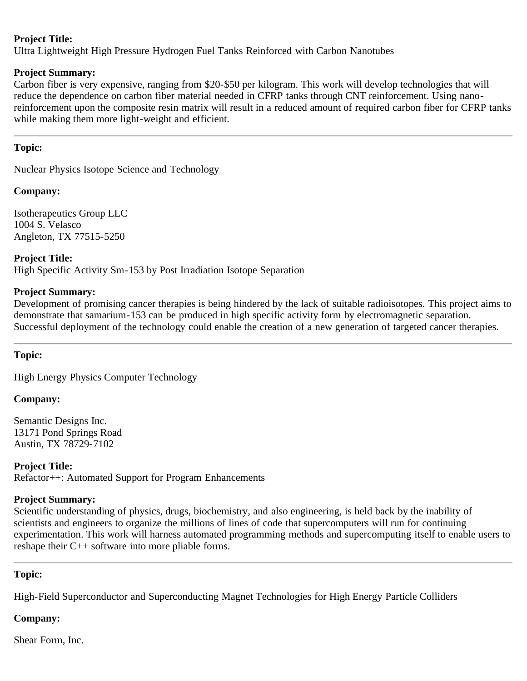## **Project Title:**

Ultra Lightweight High Pressure Hydrogen Fuel Tanks Reinforced with Carbon Nanotubes

#### **Project Summary:**

Carbon fiber is very expensive, ranging from \$20-\$50 per kilogram. This work will develop technologies that will reduce the dependence on carbon fiber material needed in CFRP tanks through CNT reinforcement. Using nanoreinforcement upon the composite resin matrix will result in a reduced amount of required carbon fiber for CFRP tanks while making them more light-weight and efficient.

### **Topic:**

Nuclear Physics Isotope Science and Technology

### **Company:**

Isotherapeutics Group LLC 1004 S. Velasco Angleton, TX 77515-5250

**Project Title:** High Specific Activity Sm-153 by Post Irradiation Isotope Separation

#### **Project Summary:**

Development of promising cancer therapies is being hindered by the lack of suitable radioisotopes. This project aims to demonstrate that samarium-153 can be produced in high specific activity form by electromagnetic separation. Successful deployment of the technology could enable the creation of a new generation of targeted cancer therapies.

#### **Topic:**

High Energy Physics Computer Technology

#### **Company:**

Semantic Designs Inc. 13171 Pond Springs Road Austin, TX 78729-7102

**Project Title:** Refactor++: Automated Support for Program Enhancements

#### **Project Summary:**

Scientific understanding of physics, drugs, biochemistry, and also engineering, is held back by the inability of scientists and engineers to organize the millions of lines of code that supercomputers will run for continuing experimentation. This work will harness automated programming methods and supercomputing itself to enable users to reshape their C++ software into more pliable forms.

## <span id="page-32-0"></span>**Topic:**

High-Field Superconductor and Superconducting Magnet Technologies for High Energy Particle Colliders

## **Company:**

Shear Form, Inc.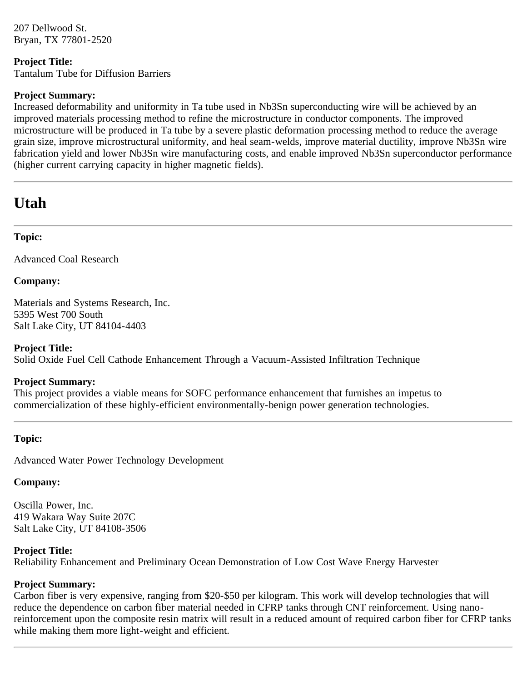207 Dellwood St. Bryan, TX 77801-2520

## **Project Title:**

Tantalum Tube for Diffusion Barriers

## **Project Summary:**

Increased deformability and uniformity in Ta tube used in Nb3Sn superconducting wire will be achieved by an improved materials processing method to refine the microstructure in conductor components. The improved microstructure will be produced in Ta tube by a severe plastic deformation processing method to reduce the average grain size, improve microstructural uniformity, and heal seam-welds, improve material ductility, improve Nb3Sn wire fabrication yield and lower Nb3Sn wire manufacturing costs, and enable improved Nb3Sn superconductor performance (higher current carrying capacity in higher magnetic fields).

# **Utah**

## **Topic:**

Advanced Coal Research

## **Company:**

Materials and Systems Research, Inc. 5395 West 700 South Salt Lake City, UT 84104-4403

## **Project Title:**

Solid Oxide Fuel Cell Cathode Enhancement Through a Vacuum-Assisted Infiltration Technique

## **Project Summary:**

This project provides a viable means for SOFC performance enhancement that furnishes an impetus to commercialization of these highly-efficient environmentally-benign power generation technologies.

# <span id="page-33-0"></span>**Topic:**

Advanced Water Power Technology Development

## **Company:**

Oscilla Power, Inc. 419 Wakara Way Suite 207C Salt Lake City, UT 84108-3506

## **Project Title:**

Reliability Enhancement and Preliminary Ocean Demonstration of Low Cost Wave Energy Harvester

## **Project Summary:**

Carbon fiber is very expensive, ranging from \$20-\$50 per kilogram. This work will develop technologies that will reduce the dependence on carbon fiber material needed in CFRP tanks through CNT reinforcement. Using nanoreinforcement upon the composite resin matrix will result in a reduced amount of required carbon fiber for CFRP tanks while making them more light-weight and efficient.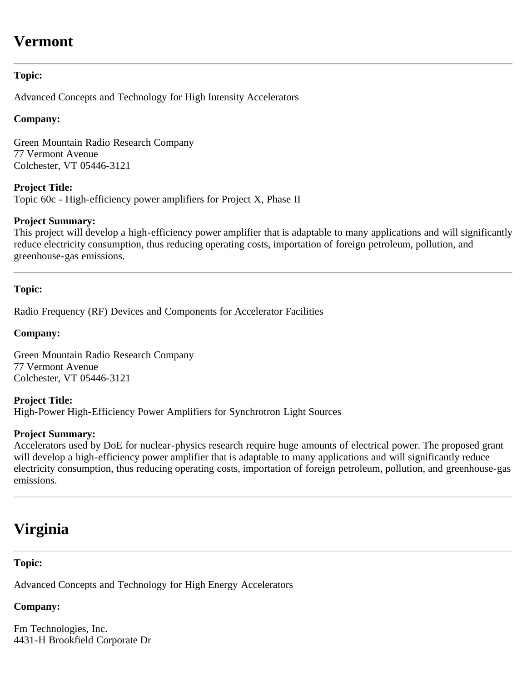# **Vermont**

## **Topic:**

Advanced Concepts and Technology for High Intensity Accelerators

## **Company:**

Green Mountain Radio Research Company 77 Vermont Avenue Colchester, VT 05446-3121

**Project Title:** Topic 60c - High-efficiency power amplifiers for Project X, Phase II

### **Project Summary:**

This project will develop a high-efficiency power amplifier that is adaptable to many applications and will significantly reduce electricity consumption, thus reducing operating costs, importation of foreign petroleum, pollution, and greenhouse-gas emissions.

## <span id="page-34-0"></span>**Topic:**

Radio Frequency (RF) Devices and Components for Accelerator Facilities

### **Company:**

Green Mountain Radio Research Company 77 Vermont Avenue Colchester, VT 05446-3121

**Project Title:** High-Power High-Efficiency Power Amplifiers for Synchrotron Light Sources

#### **Project Summary:**

Accelerators used by DoE for nuclear-physics research require huge amounts of electrical power. The proposed grant will develop a high-efficiency power amplifier that is adaptable to many applications and will significantly reduce electricity consumption, thus reducing operating costs, importation of foreign petroleum, pollution, and greenhouse-gas emissions.

# **Virginia**

## **Topic:**

Advanced Concepts and Technology for High Energy Accelerators

# **Company:**

Fm Technologies, Inc. 4431-H Brookfield Corporate Dr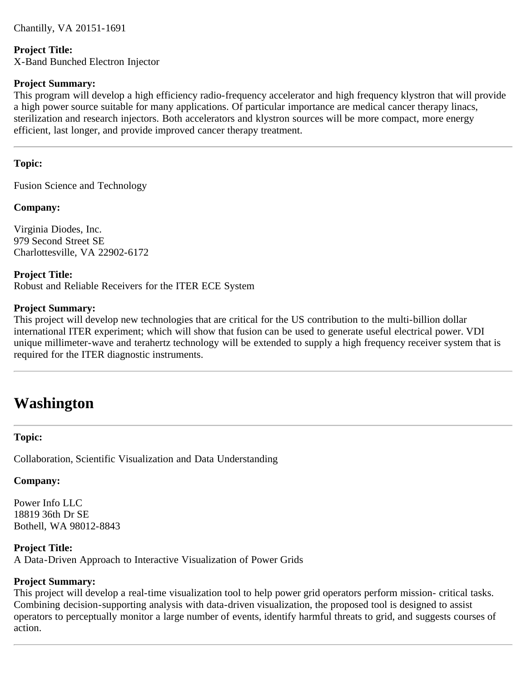Chantilly, VA 20151-1691

#### **Project Title:**

X-Band Bunched Electron Injector

#### **Project Summary:**

This program will develop a high efficiency radio-frequency accelerator and high frequency klystron that will provide a high power source suitable for many applications. Of particular importance are medical cancer therapy linacs, sterilization and research injectors. Both accelerators and klystron sources will be more compact, more energy efficient, last longer, and provide improved cancer therapy treatment.

### <span id="page-35-0"></span>**Topic:**

Fusion Science and Technology

### **Company:**

Virginia Diodes, Inc. 979 Second Street SE Charlottesville, VA 22902-6172

## **Project Title:**

Robust and Reliable Receivers for the ITER ECE System

#### **Project Summary:**

This project will develop new technologies that are critical for the US contribution to the multi-billion dollar international ITER experiment; which will show that fusion can be used to generate useful electrical power. VDI unique millimeter-wave and terahertz technology will be extended to supply a high frequency receiver system that is required for the ITER diagnostic instruments.

# **Washington**

#### **Topic:**

Collaboration, Scientific Visualization and Data Understanding

#### **Company:**

Power Info LLC 18819 36th Dr SE Bothell, WA 98012-8843

#### **Project Title:**

A Data-Driven Approach to Interactive Visualization of Power Grids

#### **Project Summary:**

This project will develop a real-time visualization tool to help power grid operators perform mission- critical tasks. Combining decision-supporting analysis with data-driven visualization, the proposed tool is designed to assist operators to perceptually monitor a large number of events, identify harmful threats to grid, and suggests courses of action.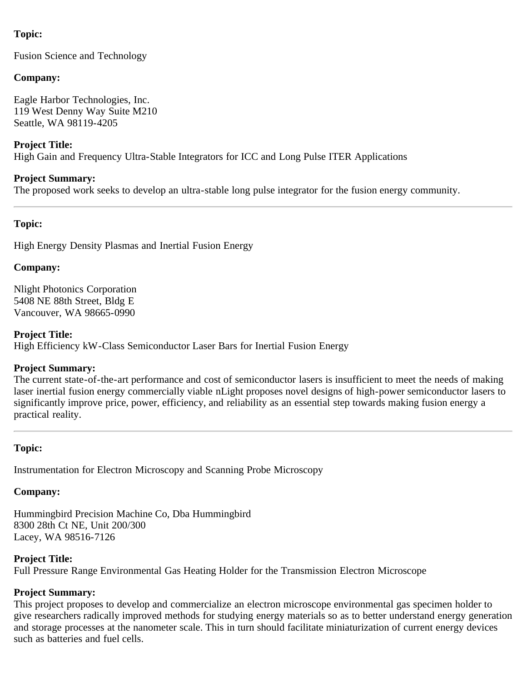# **Topic:**

Fusion Science and Technology

### **Company:**

Eagle Harbor Technologies, Inc. 119 West Denny Way Suite M210 Seattle, WA 98119-4205

### **Project Title:**

High Gain and Frequency Ultra-Stable Integrators for ICC and Long Pulse ITER Applications

### **Project Summary:**

The proposed work seeks to develop an ultra-stable long pulse integrator for the fusion energy community.

### <span id="page-36-0"></span>**Topic:**

High Energy Density Plasmas and Inertial Fusion Energy

### **Company:**

Nlight Photonics Corporation 5408 NE 88th Street, Bldg E Vancouver, WA 98665-0990

### **Project Title:**

High Efficiency kW-Class Semiconductor Laser Bars for Inertial Fusion Energy

#### **Project Summary:**

The current state-of-the-art performance and cost of semiconductor lasers is insufficient to meet the needs of making laser inertial fusion energy commercially viable nLight proposes novel designs of high-power semiconductor lasers to significantly improve price, power, efficiency, and reliability as an essential step towards making fusion energy a practical reality.

## **Topic:**

Instrumentation for Electron Microscopy and Scanning Probe Microscopy

# **Company:**

Hummingbird Precision Machine Co, Dba Hummingbird 8300 28th Ct NE, Unit 200/300 Lacey, WA 98516-7126

# **Project Title:**

Full Pressure Range Environmental Gas Heating Holder for the Transmission Electron Microscope

# **Project Summary:**

This project proposes to develop and commercialize an electron microscope environmental gas specimen holder to give researchers radically improved methods for studying energy materials so as to better understand energy generation and storage processes at the nanometer scale. This in turn should facilitate miniaturization of current energy devices such as batteries and fuel cells.